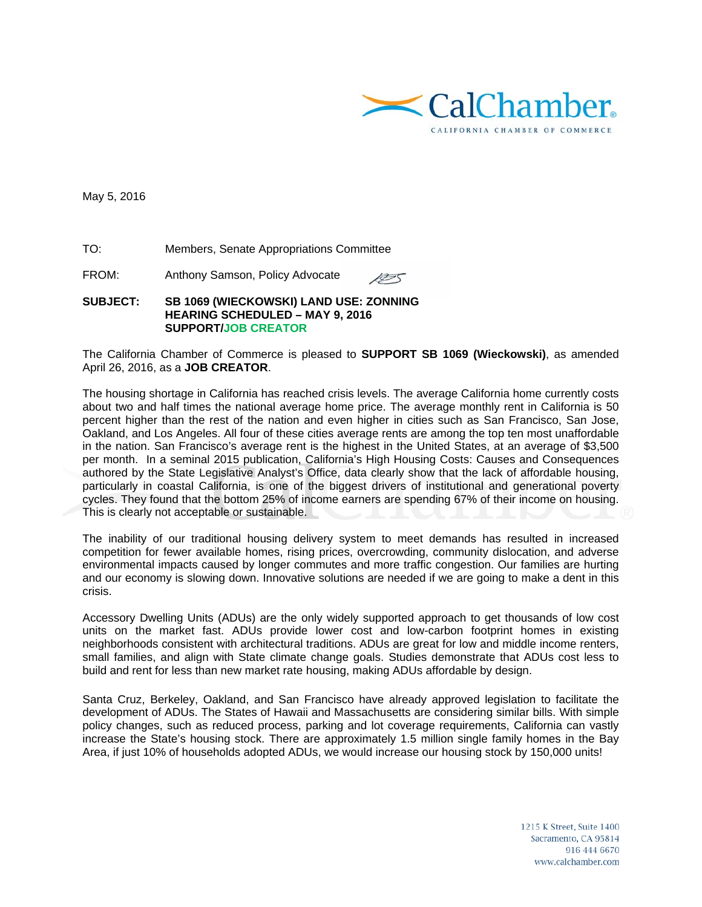

May 5, 2016

TO: Members, Senate Appropriations Committee

FROM: Anthony Samson, Policy Advocate

## **SUBJECT: SB 1069 (WIECKOWSKI) LAND USE: ZONNING HEARING SCHEDULED – MAY 9, 2016 SUPPORT/JOB CREATOR**

The California Chamber of Commerce is pleased to **SUPPORT SB 1069 (Wieckowski)**, as amended April 26, 2016, as a **JOB CREATOR**.

1255

The housing shortage in California has reached crisis levels. The average California home currently costs about two and half times the national average home price. The average monthly rent in California is 50 percent higher than the rest of the nation and even higher in cities such as San Francisco, San Jose, Oakland, and Los Angeles. All four of these cities average rents are among the top ten most unaffordable in the nation. San Francisco's average rent is the highest in the United States, at an average of \$3,500 per month. In a seminal 2015 publication, California's High Housing Costs: Causes and Consequences authored by the State Legislative Analyst's Office, data clearly show that the lack of affordable housing, particularly in coastal California, is one of the biggest drivers of institutional and generational poverty cycles. They found that the bottom 25% of income earners are spending 67% of their income on housing. This is clearly not acceptable or sustainable.

The inability of our traditional housing delivery system to meet demands has resulted in increased competition for fewer available homes, rising prices, overcrowding, community dislocation, and adverse environmental impacts caused by longer commutes and more traffic congestion. Our families are hurting and our economy is slowing down. Innovative solutions are needed if we are going to make a dent in this crisis.

Accessory Dwelling Units (ADUs) are the only widely supported approach to get thousands of low cost units on the market fast. ADUs provide lower cost and low-carbon footprint homes in existing neighborhoods consistent with architectural traditions. ADUs are great for low and middle income renters, small families, and align with State climate change goals. Studies demonstrate that ADUs cost less to build and rent for less than new market rate housing, making ADUs affordable by design.

Santa Cruz, Berkeley, Oakland, and San Francisco have already approved legislation to facilitate the development of ADUs. The States of Hawaii and Massachusetts are considering similar bills. With simple policy changes, such as reduced process, parking and lot coverage requirements, California can vastly increase the State's housing stock. There are approximately 1.5 million single family homes in the Bay Area, if just 10% of households adopted ADUs, we would increase our housing stock by 150,000 units!